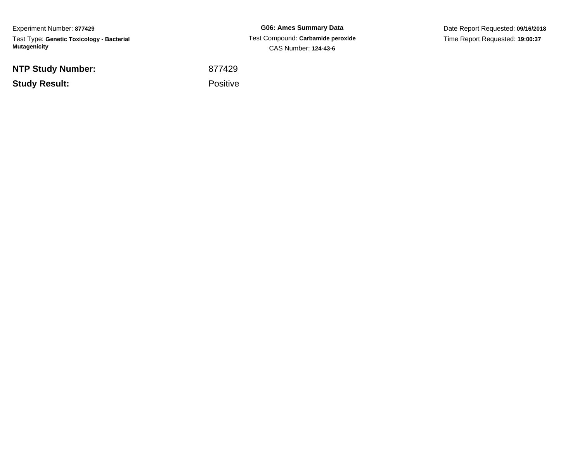Experiment Number: **877429**Test Type: **Genetic Toxicology - Bacterial Mutagenicity**

**NTP Study Number:**

**Study Result:**

**G06: Ames Summary Data** Test Compound: **Carbamide peroxide**CAS Number: **124-43-6**

Date Report Requested: **09/16/2018**Time Report Requested: **19:00:37**

<sup>877429</sup>

Positive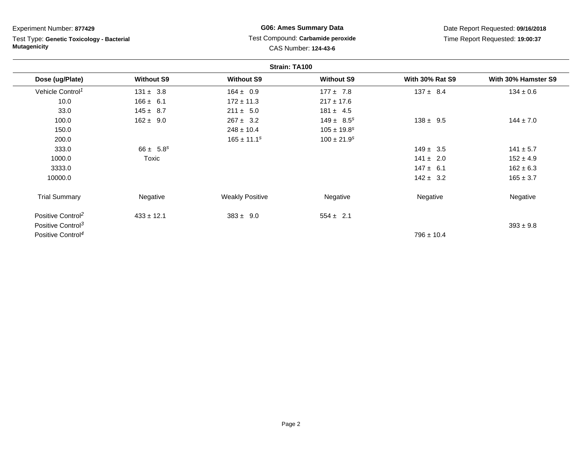| Experiment Number: 877429                                        |                   | <b>G06: Ames Summary Data</b>                             |                             | Date Report Requested: 09/16/2018 |                     |  |
|------------------------------------------------------------------|-------------------|-----------------------------------------------------------|-----------------------------|-----------------------------------|---------------------|--|
| Test Type: Genetic Toxicology - Bacterial<br><b>Mutagenicity</b> |                   | Test Compound: Carbamide peroxide<br>CAS Number: 124-43-6 |                             | Time Report Requested: 19:00:37   |                     |  |
| Strain: TA100                                                    |                   |                                                           |                             |                                   |                     |  |
| Dose (ug/Plate)                                                  | <b>Without S9</b> | <b>Without S9</b>                                         | <b>Without S9</b>           | <b>With 30% Rat S9</b>            | With 30% Hamster S9 |  |
| Vehicle Control <sup>1</sup>                                     | $131 \pm 3.8$     | $164 \pm 0.9$                                             | $177 \pm 7.8$               | $137 \pm 8.4$                     | $134 \pm 0.6$       |  |
| 10.0                                                             | $166 \pm 6.1$     | $172 \pm 11.3$                                            | $217 \pm 17.6$              |                                   |                     |  |
| 33.0                                                             | $145 \pm 8.7$     | $211 \pm 5.0$                                             | $181 \pm 4.5$               |                                   |                     |  |
| 100.0                                                            | $162 \pm 9.0$     | $267 \pm 3.2$                                             | $149 \pm 8.5^s$             | $138 \pm 9.5$                     | $144 \pm 7.0$       |  |
| 150.0                                                            |                   | $248 \pm 10.4$                                            | $105 \pm 19.8^s$            |                                   |                     |  |
| 200.0                                                            |                   | $165 \pm 11.1^s$                                          | $100 \pm 21.9$ <sup>s</sup> |                                   |                     |  |
| 333.0                                                            | $66 \pm 5.8^s$    |                                                           |                             | $149 \pm 3.5$                     | $141 \pm 5.7$       |  |
| 1000.0                                                           | Toxic             |                                                           |                             | $141 \pm 2.0$                     | $152 \pm 4.9$       |  |
| 3333.0                                                           |                   |                                                           |                             | $147 \pm 6.1$                     | $162 \pm 6.3$       |  |
| 10000.0                                                          |                   |                                                           |                             | $142 \pm 3.2$                     | $165 \pm 3.7$       |  |
| <b>Trial Summary</b>                                             | Negative          | <b>Weakly Positive</b>                                    | Negative                    | Negative                          | Negative            |  |
| Positive Control <sup>2</sup>                                    | $433 \pm 12.1$    | $383 \pm 9.0$                                             | $554 \pm 2.1$               |                                   |                     |  |
| Positive Control <sup>3</sup>                                    |                   |                                                           |                             |                                   | $393 \pm 9.8$       |  |
| Positive Control <sup>4</sup>                                    |                   |                                                           |                             | $796 \pm 10.4$                    |                     |  |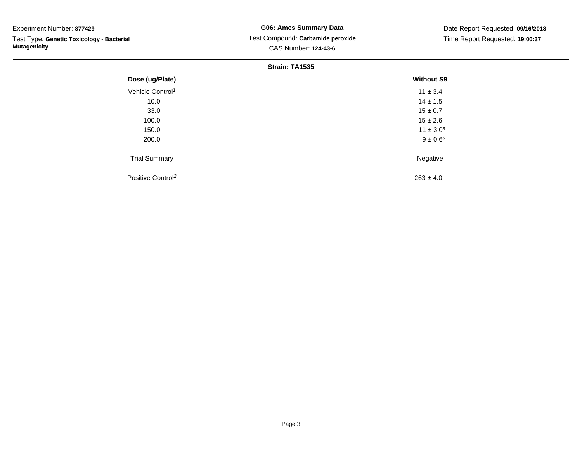## Experiment Number: **877429**

Test Type: **Genetic Toxicology - Bacterial Mutagenicity**

# **G06: Ames Summary Data** Test Compound: **Carbamide peroxide**CAS Number: **124-43-6**

Date Report Requested: **09/16/2018**Time Report Requested: **19:00:37**

### **Strain: TA1535**

| Dose (ug/Plate)               | <b>Without S9</b>        |  |
|-------------------------------|--------------------------|--|
| Vehicle Control <sup>1</sup>  | $11 \pm 3.4$             |  |
| 10.0                          | $14 \pm 1.5$             |  |
| 33.0                          | $15 \pm 0.7$             |  |
| 100.0                         | $15 \pm 2.6$             |  |
| 150.0                         | $11 \pm 3.0^s$           |  |
| 200.0                         | $9 \pm 0.6$ <sup>s</sup> |  |
| <b>Trial Summary</b>          | Negative                 |  |
| Positive Control <sup>2</sup> | $263 \pm 4.0$            |  |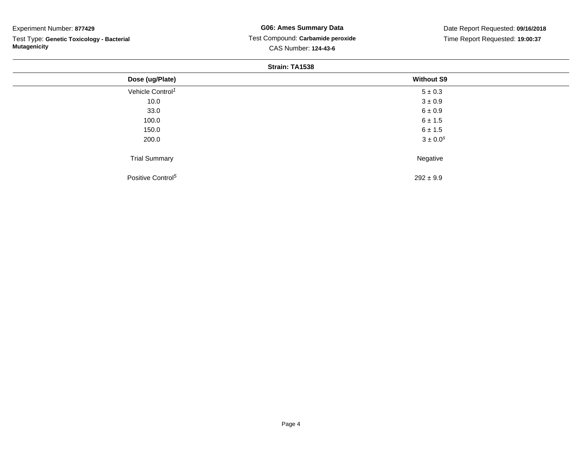## Experiment Number: **877429**

Test Type: **Genetic Toxicology - Bacterial Mutagenicity**

# **G06: Ames Summary Data** Test Compound: **Carbamide peroxide**CAS Number: **124-43-6**

Date Report Requested: **09/16/2018**Time Report Requested: **19:00:37**

### **Strain: TA1538**

| Dose (ug/Plate)               | <b>Without S9</b>        |  |
|-------------------------------|--------------------------|--|
| Vehicle Control <sup>1</sup>  | $5 \pm 0.3$              |  |
| 10.0                          | $3 \pm 0.9$              |  |
| 33.0                          | $6 \pm 0.9$              |  |
| 100.0                         | $6 \pm 1.5$              |  |
| 150.0                         | $6 \pm 1.5$              |  |
| 200.0                         | $3 \pm 0.0$ <sup>s</sup> |  |
| <b>Trial Summary</b>          | Negative                 |  |
| Positive Control <sup>5</sup> | $292 \pm 9.9$            |  |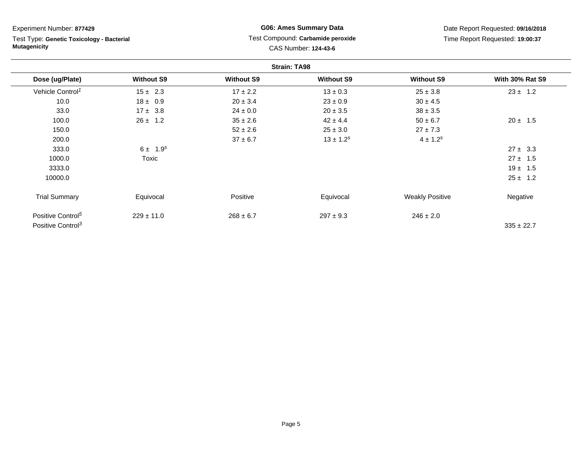| Experiment Number: 877429<br>Test Type: Genetic Toxicology - Bacterial<br><b>Mutagenicity</b> |                   | <b>G06: Ames Summary Data</b><br>Test Compound: Carbamide peroxide<br>CAS Number: 124-43-6 |                   | Date Report Requested: 09/16/2018<br>Time Report Requested: 19:00:37 |                        |
|-----------------------------------------------------------------------------------------------|-------------------|--------------------------------------------------------------------------------------------|-------------------|----------------------------------------------------------------------|------------------------|
|                                                                                               |                   |                                                                                            |                   |                                                                      |                        |
| Dose (ug/Plate)                                                                               | <b>Without S9</b> | <b>Without S9</b>                                                                          | <b>Without S9</b> | <b>Without S9</b>                                                    | <b>With 30% Rat S9</b> |
| Vehicle Control <sup>1</sup>                                                                  | $15 \pm 2.3$      | $17 \pm 2.2$                                                                               | $13 \pm 0.3$      | $25 \pm 3.8$                                                         | $23 \pm 1.2$           |
| 10.0                                                                                          | $18 \pm 0.9$      | $20 \pm 3.4$                                                                               | $23 \pm 0.9$      | $30 \pm 4.5$                                                         |                        |
| 33.0                                                                                          | $17 \pm 3.8$      | $24 \pm 0.0$                                                                               | $20 \pm 3.5$      | $38 \pm 3.5$                                                         |                        |
| 100.0                                                                                         | $26 \pm 1.2$      | $35 \pm 2.6$                                                                               | $42 \pm 4.4$      | $50 \pm 6.7$                                                         | $20 \pm 1.5$           |
| 150.0                                                                                         |                   | $52 \pm 2.6$                                                                               | $25 \pm 3.0$      | $27 \pm 7.3$                                                         |                        |
| 200.0                                                                                         |                   | $37 \pm 6.7$                                                                               | $13 \pm 1.2^s$    | $4 \pm 1.2^{s}$                                                      |                        |
| 333.0                                                                                         | $6 \pm 1.9^{s}$   |                                                                                            |                   |                                                                      | $27 \pm 3.3$           |
| 1000.0                                                                                        | Toxic             |                                                                                            |                   |                                                                      | $27 \pm 1.5$           |
| 3333.0                                                                                        |                   |                                                                                            |                   |                                                                      | $19 \pm 1.5$           |
| 10000.0                                                                                       |                   |                                                                                            |                   |                                                                      | $25 \pm 1.2$           |
| <b>Trial Summary</b>                                                                          | Equivocal         | Positive                                                                                   | Equivocal         | <b>Weakly Positive</b>                                               | Negative               |
| Positive Control <sup>5</sup><br>Positive Control <sup>3</sup>                                | $229 \pm 11.0$    | $268 \pm 6.7$                                                                              | $297 \pm 9.3$     | $246 \pm 2.0$                                                        | $335 \pm 22.7$         |

Page 5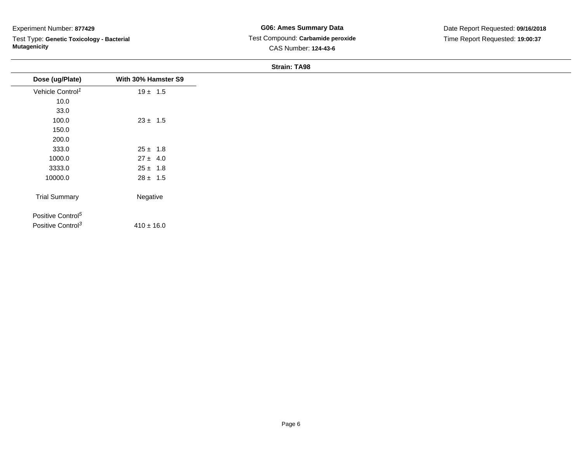## Experiment Number: **877429**

Test Type: **Genetic Toxicology - Bacterial Mutagenicity**

#### **Strain: TA98**

| Dose (ug/Plate)               | With 30% Hamster S9 |
|-------------------------------|---------------------|
| Vehicle Control <sup>1</sup>  | $19 \pm 1.5$        |
| 10.0                          |                     |
| 33.0                          |                     |
| 100.0                         | $23 \pm 1.5$        |
| 150.0                         |                     |
| 200.0                         |                     |
| 333.0                         | $25 \pm 1.8$        |
| 1000.0                        | $27 \pm 4.0$        |
| 3333.0                        | $25 \pm 1.8$        |
| 10000.0                       | $28 \pm 1.5$        |
|                               |                     |
| <b>Trial Summary</b>          | Negative            |
| Positive Control <sup>5</sup> |                     |
| Positive Control <sup>3</sup> | $410 \pm 16.0$      |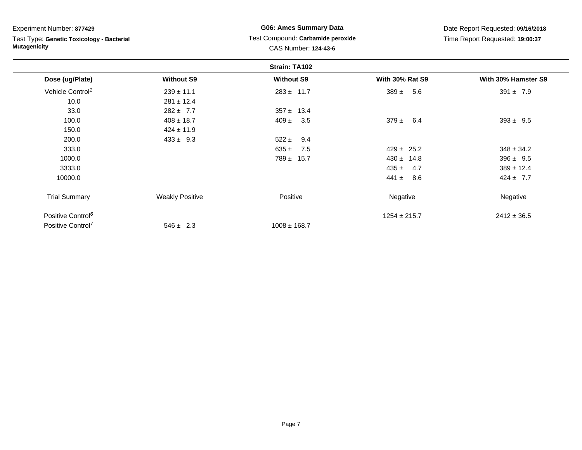| Experiment Number: 877429<br>Test Type: Genetic Toxicology - Bacterial<br><b>Mutagenicity</b> |                        | <b>G06: Ames Summary Data</b>                             |                        | Date Report Requested: 09/16/2018 |  |
|-----------------------------------------------------------------------------------------------|------------------------|-----------------------------------------------------------|------------------------|-----------------------------------|--|
|                                                                                               |                        | Test Compound: Carbamide peroxide<br>CAS Number: 124-43-6 |                        | Time Report Requested: 19:00:37   |  |
|                                                                                               |                        |                                                           |                        |                                   |  |
| Dose (ug/Plate)                                                                               | <b>Without S9</b>      | <b>Without S9</b>                                         | <b>With 30% Rat S9</b> | With 30% Hamster S9               |  |
| Vehicle Control <sup>1</sup>                                                                  | $239 \pm 11.1$         | $283 \pm 11.7$                                            | $389 \pm 5.6$          | $391 \pm 7.9$                     |  |
| 10.0                                                                                          | $281 \pm 12.4$         |                                                           |                        |                                   |  |
| 33.0                                                                                          | $282 \pm 7.7$          | $357 \pm 13.4$                                            |                        |                                   |  |
| 100.0                                                                                         | $408 \pm 18.7$         | $409 \pm$<br>3.5                                          | $379 \pm 6.4$          | $393 \pm 9.5$                     |  |
| 150.0                                                                                         | $424 \pm 11.9$         |                                                           |                        |                                   |  |
| 200.0                                                                                         | $433 \pm 9.3$          | $522 \pm$<br>9.4                                          |                        |                                   |  |
| 333.0                                                                                         |                        | 7.5<br>635 $\pm$                                          | $429 \pm 25.2$         | $348 \pm 34.2$                    |  |
| 1000.0                                                                                        |                        | $789 \pm 15.7$                                            | $430 \pm 14.8$         | $396 \pm 9.5$                     |  |
| 3333.0                                                                                        |                        |                                                           | $435 \pm$<br>4.7       | $389 \pm 12.4$                    |  |
| 10000.0                                                                                       |                        |                                                           | 441 $\pm$<br>8.6       | $424 \pm 7.7$                     |  |
| <b>Trial Summary</b>                                                                          | <b>Weakly Positive</b> | Positive                                                  | Negative               | Negative                          |  |
| Positive Control <sup>6</sup>                                                                 |                        |                                                           | $1254 \pm 215.7$       | $2412 \pm 36.5$                   |  |
| Positive Control <sup>7</sup>                                                                 | $546 \pm 2.3$          | $1008 \pm 168.7$                                          |                        |                                   |  |